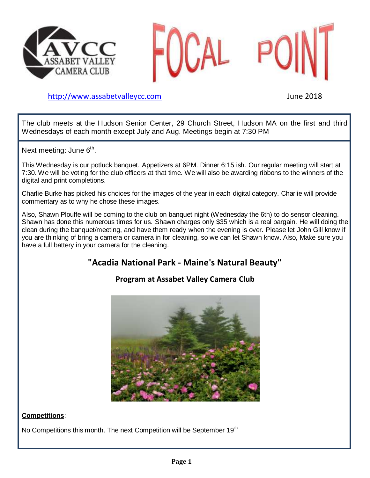



[http://www.assabetvalleyc](http://www.assabetvalley/)c.com June 2018

The club meets at the Hudson Senior Center, 29 Church Street, Hudson MA on the first and third Wednesdays of each month except July and Aug. Meetings begin at 7:30 PM

Next meeting: June 6<sup>th</sup>.

This Wednesday is our potluck banquet. Appetizers at 6PM..Dinner 6:15 ish. Our regular meeting will start at 7:30. We will be voting for the club officers at that time. We will also be awarding ribbons to the winners of the digital and print completions.

Charlie Burke has picked his choices for the images of the year in each digital category. Charlie will provide commentary as to why he chose these images.

Also, Shawn Plouffe will be coming to the club on banquet night (Wednesday the 6th) to do sensor cleaning. Shawn has done this numerous times for us. Shawn charges only \$35 which is a real bargain. He will doing the clean during the banquet/meeting, and have them ready when the evening is over. Please let John Gill know if you are thinking of bring a camera or camera in for cleaning, so we can let Shawn know. Also, Make sure you have a full battery in your camera for the cleaning.

# **"Acadia National Park - Maine's Natural Beauty"**

### **Program at Assabet Valley Camera Club**



#### **Competitions**:

No Competitions this month. The next Competition will be September  $19<sup>th</sup>$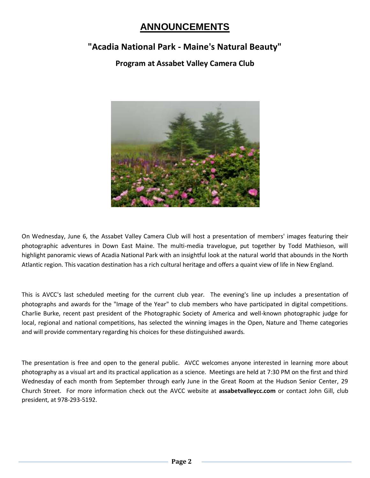# **ANNOUNCEMENTS**

## **"Acadia National Park - Maine's Natural Beauty"**

### **Program at Assabet Valley Camera Club**



On Wednesday, June 6, the Assabet Valley Camera Club will host a presentation of members' images featuring their photographic adventures in Down East Maine. The multi-media travelogue, put together by Todd Mathieson, will highlight panoramic views of Acadia National Park with an insightful look at the natural world that abounds in the North Atlantic region. This vacation destination has a rich cultural heritage and offers a quaint view of life in New England.

This is AVCC's last scheduled meeting for the current club year. The evening's line up includes a presentation of photographs and awards for the "Image of the Year" to club members who have participated in digital competitions. Charlie Burke, recent past president of the Photographic Society of America and well-known photographic judge for local, regional and national competitions, has selected the winning images in the Open, Nature and Theme categories and will provide commentary regarding his choices for these distinguished awards.

The presentation is free and open to the general public. AVCC welcomes anyone interested in learning more about photography as a visual art and its practical application as a science. Meetings are held at 7:30 PM on the first and third Wednesday of each month from September through early June in the Great Room at the Hudson Senior Center, 29 Church Street. For more information check out the AVCC website at **assabetvalleycc.com** or contact John Gill, club president, at 978-293-5192.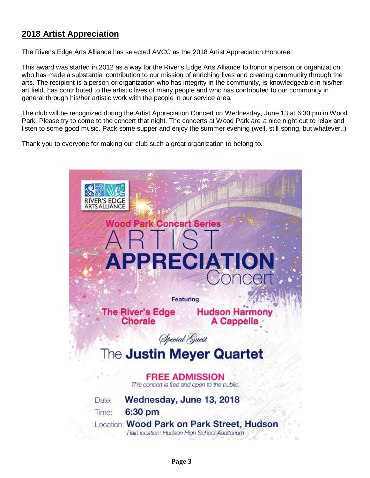### **2018 Artist Appreciation**

The River's Edge Arts Alliance has selected AVCC as the 2018 Artist Appreciation Honoree.

This award was started in 2012 as a way for the River's Edge Arts Alliance to honor a person or organization who has made a substantial contribution to our mission of enriching lives and creating community through the arts. The recipient is a person or organization who has integrity in the community, is knowledgeable in his/her art field, has contributed to the artistic lives of many people and who has contributed to our community in general through his/her artistic work with the people in our service area.

The club will be recognized during the Artist Appreciation Concert on Wednesday, June 13 at 6:30 pm in Wood Park. Please try to come to the concert that night. The concerts at Wood Park are a nice night out to relax and listen to some good music. Pack some supper and enjoy the summer evening (well, still spring, but whatever..)

Thank you to everyone for making our club such a great organization to belong to.

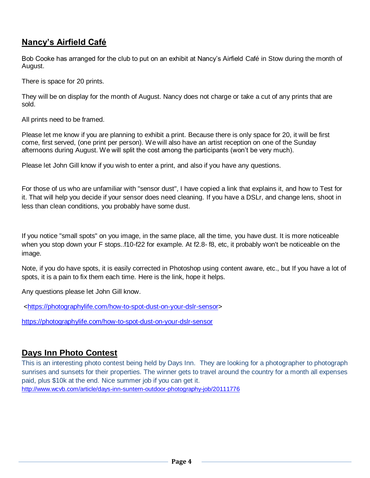### **Nancy's Airfield Café**

Bob Cooke has arranged for the club to put on an exhibit at Nancy's Airfield Café in Stow during the month of August.

There is space for 20 prints.

They will be on display for the month of August. Nancy does not charge or take a cut of any prints that are sold.

All prints need to be framed.

Please let me know if you are planning to exhibit a print. Because there is only space for 20, it will be first come, first served, (one print per person). We will also have an artist reception on one of the Sunday afternoons during August. We will split the cost among the participants (won't be very much).

Please let John Gill know if you wish to enter a print, and also if you have any questions.

For those of us who are unfamiliar with "sensor dust", I have copied a link that explains it, and how to Test for it. That will help you decide if your sensor does need cleaning. If you have a DSLr, and change lens, shoot in less than clean conditions, you probably have some dust.

If you notice "small spots" on you image, in the same place, all the time, you have dust. It is more noticeable when you stop down your F stops..f10-f22 for example. At f2.8- f8, etc, it probably won't be noticeable on the image.

Note, if you do have spots, it is easily corrected in Photoshop using content aware, etc., but If you have a lot of spots, it is a pain to fix them each time. Here is the link, hope it helps.

Any questions please let John Gill know.

[<https://photographylife.com/how-to-spot-dust-on-your-dslr-sensor>](https://photographylife.com/how-to-spot-dust-on-your-dslr-sensor)

<https://photographylife.com/how-to-spot-dust-on-your-dslr-sensor>

### **Days Inn Photo Contest**

This is an interesting photo contest being held by Days Inn. They are looking for a photographer to photograph sunrises and sunsets for their properties. The winner gets to travel around the country for a month all expenses paid, plus \$10k at the end. Nice summer job if you can get it. <http://www.wcvb.com/article/days-inn-suntern-outdoor-photography-job/20111776>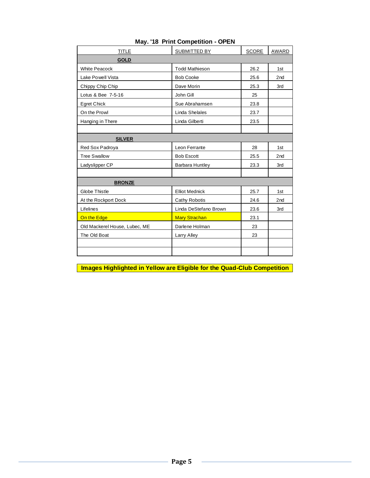| <b>TITLE</b>                  | SUBMITTED BY           | <b>SCORE</b> | AWARD           |
|-------------------------------|------------------------|--------------|-----------------|
| <b>GOLD</b>                   |                        |              |                 |
| <b>White Peacock</b>          | <b>Todd Mathieson</b>  | 26.2         | 1st             |
| Lake Powell Vista             | <b>Bob Cooke</b>       | 25.6         | 2 <sub>nd</sub> |
| Chippy Chip Chip              | Dave Morin             | 25.3         | 3rd             |
| Lotus & Bee 7-5-16            | John Gill              | 25           |                 |
| Egret Chick                   | Sue Abrahamsen         | 23.8         |                 |
| On the Prowl                  | Linda Shelales         | 23.7         |                 |
| Hanging in There              | Linda Gilberti         | 23.5         |                 |
|                               |                        |              |                 |
| <b>SILVER</b>                 |                        |              |                 |
| Red Sox Padroya               | Leon Ferrante          | 28           | 1st             |
| <b>Tree Swallow</b>           | <b>Bob Escott</b>      | 25.5         | 2nd             |
| Ladyslipper CP                | <b>Barbara Huntley</b> | 23.3         | 3rd             |
|                               |                        |              |                 |
| <b>BRONZE</b>                 |                        |              |                 |
| Globe Thistle                 | <b>Elliot Mednick</b>  | 25.7         | 1st             |
| At the Rockport Dock          | Cathy Robotis          | 24.6         | 2 <sub>nd</sub> |
| Lifelines                     | Linda DeStefano Brown  | 23.6         | 3rd             |
| On the Edge                   | <b>Mary Strachan</b>   | 23.1         |                 |
| Old Mackerel House, Lubec, ME | Darlene Holman         | 23           |                 |
| The Old Boat                  | Larry Alley            | 23           |                 |
|                               |                        |              |                 |
|                               |                        |              |                 |

#### **May. '18 Print Competition - OPEN**

**Images Highlighted in Yellow are Eligible for the Quad-Club Competition**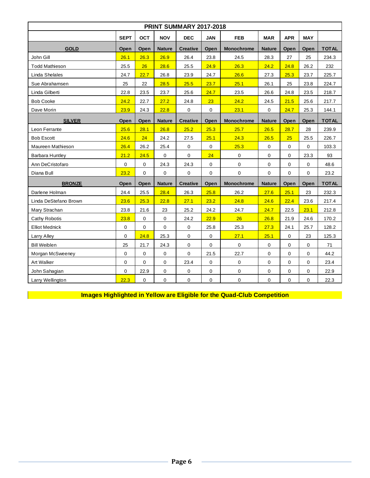| <b>PRINT SUMMARY 2017-2018</b> |             |                                                  |                          |                   |                          |                   |                          |              |                      |              |  |  |  |
|--------------------------------|-------------|--------------------------------------------------|--------------------------|-------------------|--------------------------|-------------------|--------------------------|--------------|----------------------|--------------|--|--|--|
|                                | <b>SEPT</b> | <b>OCT</b>                                       | <b>NOV</b><br><b>DEC</b> |                   | <b>JAN</b><br><b>FEB</b> |                   | <b>MAR</b><br><b>APR</b> |              | <b>MAY</b>           |              |  |  |  |
| <b>GOLD</b>                    | Open        | Open<br>Open<br><b>Nature</b><br><b>Creative</b> |                          | <b>Monochrome</b> | <b>Nature</b>            | Open              | Open                     | <b>TOTAL</b> |                      |              |  |  |  |
| John Gill                      | 26.1        | 26.3                                             | 26.9                     | 26.4              | 23.8                     | 24.5              | 28.3                     | 27           | 25                   | 234.3        |  |  |  |
| <b>Todd Mathieson</b>          | 25.5        | 26                                               | 28.6                     | 25.5              | 24.9                     | 26.3              | 24.2<br>24.8             |              | 26.2                 | 232          |  |  |  |
| Linda Shelales                 | 24.7        | 22.7                                             | 26.8                     | 23.9              | 24.7                     | 26.6              | 27.3                     | 25.3         | 23.7                 | 225.7        |  |  |  |
| Sue Abrahamsen                 | 25          | 22                                               | 28.5                     | 25.5              | 23.7                     | 25.1              | 26.1                     | 25           | 23.8                 | 224.7        |  |  |  |
| Linda Gilberti                 | 22.8        | 23.5                                             | 23.7                     | 25.6              | 24.7                     | 23.5              | 26.6                     | 24.8         | 23.5                 | 218.7        |  |  |  |
| <b>Bob Cooke</b>               | 24.2        | 22.7                                             | 27.2                     | 24.8              | 23                       | 24.2              | 24.5                     | 21.5         | 25.6                 | 217.7        |  |  |  |
| Dave Morin                     | 23.9        | 24.3                                             | 22.8                     | 0                 | 0                        | 23.1              | $\mathsf{O}\xspace$      | 24.7         | 25.3                 | 144.1        |  |  |  |
| <b>SILVER</b>                  | Open        | Open                                             | <b>Nature</b>            | <b>Creative</b>   | Open                     | <b>Monochrome</b> | <b>Nature</b>            | Open         | <b>TOTAL</b><br>Open |              |  |  |  |
| Leon Ferrante                  | 25.6        | 28.1                                             | 26.8                     | 25.2              | 25.3                     | 25.7              | 26.5                     | 28.7         | 28                   | 239.9        |  |  |  |
| <b>Bob Escott</b>              | 24.6        | 24                                               | 24.2                     | 27.5              | 25.1                     | 24.3              | 26.5                     | 25           | 25.5                 | 226.7        |  |  |  |
| Maureen Mathieson              | 26.4        | 26.2                                             | 25.4                     | 0                 | $\Omega$                 | 25.3              | $\mathbf{0}$             | 0            | $\Omega$             | 103.3        |  |  |  |
| Barbara Huntley                | 21.2        | 24.5                                             | 0                        | 0                 | 24                       | 0                 | $\mathbf 0$              | 0            | 23.3                 | 93           |  |  |  |
| Ann DeCristofaro               | $\mathbf 0$ | $\mathbf 0$                                      | 24.3                     | 24.3              | $\mathbf 0$              | 0                 | $\mathbf 0$              | $\mathbf 0$  | $\mathbf 0$          | 48.6         |  |  |  |
| Diana Bull                     | 23.2        | 0                                                | 0                        | 0                 | $\mathbf 0$              | $\mathbf 0$       | $\mathbf 0$              | 0            | 0                    | 23.2         |  |  |  |
| <b>BRONZE</b>                  | Open        | Open                                             | <b>Nature</b>            | <b>Creative</b>   | Open                     | Monochrome        | <b>Nature</b>            | Open         | Open                 | <b>TOTAL</b> |  |  |  |
| Darlene Holman                 | 24.4        | 25.5                                             | 28.4                     | 26.3              | 25.8                     | 26.2              | 27.6                     | 25.1         | 23                   | 232.3        |  |  |  |
| Linda DeStefano Brown          | 23.6        | 25.3                                             | 22.8                     | 27.1              | 23.2                     | 24.8              | 24.6                     | 22.4         | 23.6                 | 217.4        |  |  |  |
| Mary Strachan                  | 23.8        | 21.6                                             | 23                       | 25.2              | 24.2                     | 24.7              | 24.7                     | 22.5         | 23.1                 | 212.8        |  |  |  |
| Cathy Robotis                  | 23.8        | 0                                                | $\mathbf 0$              | 24.2              | 22.9                     | 26                | 26.8                     | 21.9         | 24.6                 | 170.2        |  |  |  |
| <b>Elliot Mednick</b>          | $\mathbf 0$ | $\mathbf 0$                                      | $\mathbf 0$              | 0                 | 25.8                     | 25.3              | 27.3                     | 24.1         | 25.7                 | 128.2        |  |  |  |
| Larry Alley                    | $\mathbf 0$ | 24.8                                             | 25.3                     | 0                 | $\mathbf 0$              | 27.1              | 25.1                     | 0            | 23                   | 125.3        |  |  |  |
| <b>Bill Weiblen</b>            | 25          | 21.7                                             | 24.3                     | 0                 | $\mathbf 0$              | 0                 | $\mathsf{O}\xspace$      | 0            | $\mathbf 0$          | 71           |  |  |  |
| Morgan McSweeney               | $\mathbf 0$ | 0                                                | 0                        | 0                 | 21.5                     | 22.7              | $\mathsf{O}\xspace$      | 0            | $\mathbf 0$          | 44.2         |  |  |  |
| Art Walker                     | $\mathbf 0$ | $\mathbf 0$                                      | $\mathbf 0$              | 23.4              | $\mathbf 0$              | 0                 | $\mathbf{0}$             | 0            | $\mathbf 0$          | 23.4         |  |  |  |
| John Sahagian                  | $\mathbf 0$ | 22.9                                             | 0                        | 0                 | 0                        | $\pmb{0}$         | $\mathbf 0$              | 0            | $\mathbf 0$          | 22.9         |  |  |  |
| Larry Wellington               | 22.3        | 0                                                | 0                        | $\mathbf 0$       | $\mathbf 0$              | 0                 | $\mathbf 0$              | 0            | $\mathbf 0$          | 22.3         |  |  |  |

**IMAGES** Images Highlighted in Yellow are Eligible for the Quad-Club Competition **Competition**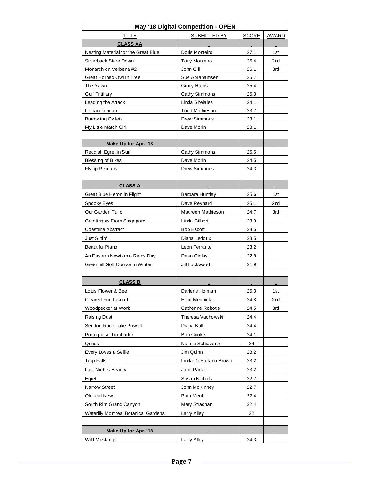| May '18 Digital Competition - OPEN          |                          |              |                 |  |  |  |  |  |  |  |
|---------------------------------------------|--------------------------|--------------|-----------------|--|--|--|--|--|--|--|
| <b>TITLE</b>                                | <b>SUBMITTED BY</b>      | <b>SCORE</b> | AWARD           |  |  |  |  |  |  |  |
| <b>CLASS AA</b>                             |                          |              |                 |  |  |  |  |  |  |  |
| Nesting Material for the Great Blue         | Doris Monteiro           | 27.1         | 1st             |  |  |  |  |  |  |  |
| Silverback Stare Down                       | <b>Tony Monteiro</b>     | 26.4         | 2nd             |  |  |  |  |  |  |  |
| Monarch on Verbena #2                       | John Gill                | 26.1         | 3rd             |  |  |  |  |  |  |  |
| Great Horned Owl In Tree                    | Sue Abrahamsen           | 25.7         |                 |  |  |  |  |  |  |  |
| The Yawn                                    | <b>Ginny Harris</b>      | 25.4         |                 |  |  |  |  |  |  |  |
| <b>Gulf Fritillary</b>                      | Cathy Simmons            | 25.3         |                 |  |  |  |  |  |  |  |
| Leading the Attack                          | Linda Shelales           | 24.1         |                 |  |  |  |  |  |  |  |
| If I can Toucan                             | <b>Todd Mathieson</b>    | 23.7         |                 |  |  |  |  |  |  |  |
| <b>Burrowing Owlets</b>                     | Drew Simmons             | 23.1         |                 |  |  |  |  |  |  |  |
| My Little Match Girl                        | Dave Morin               | 23.1         |                 |  |  |  |  |  |  |  |
|                                             |                          |              |                 |  |  |  |  |  |  |  |
| Make-Up for Apr. '18                        |                          |              |                 |  |  |  |  |  |  |  |
| Reddish Egret in Surf                       | Cathy Simmons            | 25.5         |                 |  |  |  |  |  |  |  |
| <b>Blessing of Bikes</b>                    | Dave Morin               | 24.5         |                 |  |  |  |  |  |  |  |
| <b>Flying Pelicans</b>                      | Drew Simmons             | 24.3         |                 |  |  |  |  |  |  |  |
| <b>CLASS A</b>                              |                          |              |                 |  |  |  |  |  |  |  |
| Great Blue Heron in Flight                  | Barbara Huntley          | 25.6         | 1st             |  |  |  |  |  |  |  |
| Spooky Eyes                                 | Dave Reynard             | 25.1         | 2 <sub>nd</sub> |  |  |  |  |  |  |  |
| Our Garden Tulip                            | Maureen Mathieson        | 24.7         | 3rd             |  |  |  |  |  |  |  |
| Greetingsw From Singapore                   | Linda Gilberti           | 23.9         |                 |  |  |  |  |  |  |  |
| <b>Coastline Abstract</b>                   | <b>Bob Escott</b>        | 23.5         |                 |  |  |  |  |  |  |  |
| Just Sittin'                                | Diana Ledoux             | 23.5         |                 |  |  |  |  |  |  |  |
| <b>Beautiful Piano</b>                      | Leon Ferrante            | 23.2         |                 |  |  |  |  |  |  |  |
| An Eastern Newt on a Rainy Day              | Dean Giolas              | 22.8         |                 |  |  |  |  |  |  |  |
| Greenhill Golf Course in Winter             | Jill Lockwood            | 21.9         |                 |  |  |  |  |  |  |  |
|                                             |                          |              |                 |  |  |  |  |  |  |  |
| <b>CLASS B</b>                              |                          |              |                 |  |  |  |  |  |  |  |
| Lotus Flower & Bee                          | Darlene Holman           | 25.3         | 1st             |  |  |  |  |  |  |  |
| Cleared For Takeoff                         | <b>Elliot Mednick</b>    | 24.8         | 2nd             |  |  |  |  |  |  |  |
| Woodpecker at Work                          | <b>Catherine Robotis</b> | 24.5         | 3rd             |  |  |  |  |  |  |  |
| Raising Dust                                | Theresa Vachowski        | 24.4         |                 |  |  |  |  |  |  |  |
| Seedoo Race Lake Powell                     | Diana Bull               | 24.4         |                 |  |  |  |  |  |  |  |
| Portuguese Troubador                        | <b>Bob Cooke</b>         | 24.1         |                 |  |  |  |  |  |  |  |
| Quack                                       | Natalie Schiavone        | 24           |                 |  |  |  |  |  |  |  |
| Every Loves a Selfie                        | Jim Quinn                | 23.2         |                 |  |  |  |  |  |  |  |
| <b>Trap Falls</b>                           | Linda DeStefano Brown    | 23.2         |                 |  |  |  |  |  |  |  |
| Last Night's Beauty                         | Jane Parker              | 23.2         |                 |  |  |  |  |  |  |  |
| Egret                                       | Susan Nichols            | 22.7         |                 |  |  |  |  |  |  |  |
| Narrow Street                               | John McKinney            | 22.7         |                 |  |  |  |  |  |  |  |
| Old and New                                 | Pam Meoli                | 22.4         |                 |  |  |  |  |  |  |  |
| South Rim Grand Canyon                      | Mary Strachan            | 22.4         |                 |  |  |  |  |  |  |  |
| <b>Waterlily Montreal Botanical Gardens</b> | Larry Alley              | 22           |                 |  |  |  |  |  |  |  |
|                                             |                          |              |                 |  |  |  |  |  |  |  |
| Make-Up for Apr. '18                        |                          |              |                 |  |  |  |  |  |  |  |
| <b>Wild Mustangs</b>                        | Larry Alley              | 24.3         |                 |  |  |  |  |  |  |  |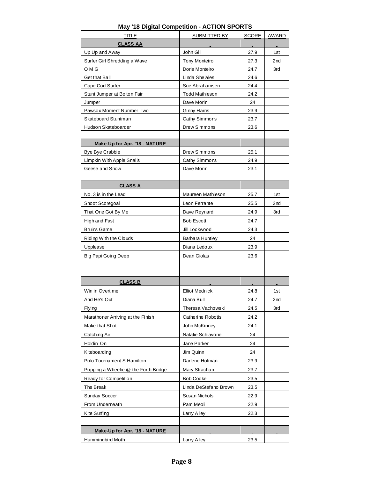| May '18 Digital Competition - ACTION SPORTS |                          |              |                 |  |  |  |  |  |  |
|---------------------------------------------|--------------------------|--------------|-----------------|--|--|--|--|--|--|
| <b>TITLE</b>                                | SUBMITTED BY             | <b>SCORE</b> | AWARD           |  |  |  |  |  |  |
| <b>CLASS AA</b>                             |                          |              |                 |  |  |  |  |  |  |
| Up Up and Away                              | John Gill                | 27.9         | 1st             |  |  |  |  |  |  |
| Surfer Girl Shredding a Wave                | Tony Monteiro            | 27.3         | 2 <sub>nd</sub> |  |  |  |  |  |  |
| O M G                                       | Doris Monteiro           | 24.7         | 3rd             |  |  |  |  |  |  |
| Get that Ball                               | Linda Shelales           | 24.6         |                 |  |  |  |  |  |  |
| Cape Cod Surfer                             | Sue Abrahamsen           | 24.4         |                 |  |  |  |  |  |  |
| Stunt Jumper at Bolton Fair                 | <b>Todd Mathieson</b>    | 24.2         |                 |  |  |  |  |  |  |
| Jumper                                      | Dave Morin               | 24           |                 |  |  |  |  |  |  |
| Pawsox Moment Number Two                    | <b>Ginny Harris</b>      | 23.9         |                 |  |  |  |  |  |  |
| Skateboard Stuntman                         | Cathy Simmons            | 23.7         |                 |  |  |  |  |  |  |
| Hudson Skateboarder                         | Drew Simmons             | 23.6         |                 |  |  |  |  |  |  |
|                                             |                          |              |                 |  |  |  |  |  |  |
| Make-Up for Apr. '18 - NATURE               |                          |              |                 |  |  |  |  |  |  |
| <b>Bye Bye Crabbie</b>                      | Drew Simmons             | 25.1         |                 |  |  |  |  |  |  |
| Limpkin With Apple Snails                   | Cathy Simmons            | 24.9         |                 |  |  |  |  |  |  |
| Geese and Snow                              | Dave Morin               | 23.1         |                 |  |  |  |  |  |  |
|                                             |                          |              |                 |  |  |  |  |  |  |
| <b>CLASS A</b>                              |                          |              |                 |  |  |  |  |  |  |
| No. 3 is in the Lead                        | Maureen Mathieson        | 25.7         | 1st             |  |  |  |  |  |  |
| Shoot Scoregoal                             | Leon Ferrante            | 25.5         | 2nd             |  |  |  |  |  |  |
| That One Got By Me                          | Dave Reynard             | 24.9         | 3rd             |  |  |  |  |  |  |
| High and Fast                               | <b>Bob Escott</b>        | 24.7         |                 |  |  |  |  |  |  |
| <b>Bruins Game</b>                          | Jill Lockwood            | 24.3         |                 |  |  |  |  |  |  |
| Riding With the Clouds                      | <b>Barbara Huntley</b>   | 24           |                 |  |  |  |  |  |  |
| Upplease                                    | Diana Ledoux             | 23.9         |                 |  |  |  |  |  |  |
| Big Papi Going Deep                         | Dean Giolas              | 23.6         |                 |  |  |  |  |  |  |
|                                             |                          |              |                 |  |  |  |  |  |  |
|                                             |                          |              |                 |  |  |  |  |  |  |
| <b>CLASS B</b>                              |                          |              |                 |  |  |  |  |  |  |
| Win in Overtime                             | <b>Elliot Mednick</b>    | 24.8         | 1st             |  |  |  |  |  |  |
| And He's Out                                | Diana Bull               | 24.7         | 2nd             |  |  |  |  |  |  |
| <b>Flying</b>                               | Theresa Vachowski        | 24.5         | 3rd             |  |  |  |  |  |  |
| Marathoner Arriving at the Finish           | <b>Catherine Robotis</b> | 24.2         |                 |  |  |  |  |  |  |
| Make that Shot                              | John McKinney            | 24.1         |                 |  |  |  |  |  |  |
| Catching Air                                | Natalie Schiavone        | 24           |                 |  |  |  |  |  |  |
| Holdin' On                                  | Jane Parker              | 24           |                 |  |  |  |  |  |  |
| Kiteboarding                                | Jim Quinn                | 24           |                 |  |  |  |  |  |  |
| Polo Tournament S Hamilton                  | Darlene Holman           | 23.9         |                 |  |  |  |  |  |  |
| Popping a Wheelie @ the Forth Bridge        | Mary Strachan            | 23.7         |                 |  |  |  |  |  |  |
| Ready for Competition                       | <b>Bob Cooke</b>         | 23.5         |                 |  |  |  |  |  |  |
| The Break                                   | Linda DeStefano Brown    | 23.5         |                 |  |  |  |  |  |  |
| <b>Sunday Soccer</b>                        | Susan Nichols            | 22.9         |                 |  |  |  |  |  |  |
| From Underneath                             | Pam Meoli                | 22.9         |                 |  |  |  |  |  |  |
| Kite Surfing                                | Larry Alley              | 22.3         |                 |  |  |  |  |  |  |
|                                             |                          |              |                 |  |  |  |  |  |  |
| Make-Up for Apr. '18 - NATURE               |                          |              |                 |  |  |  |  |  |  |
| Hummingbird Moth                            | Larry Alley              | 23.5         |                 |  |  |  |  |  |  |